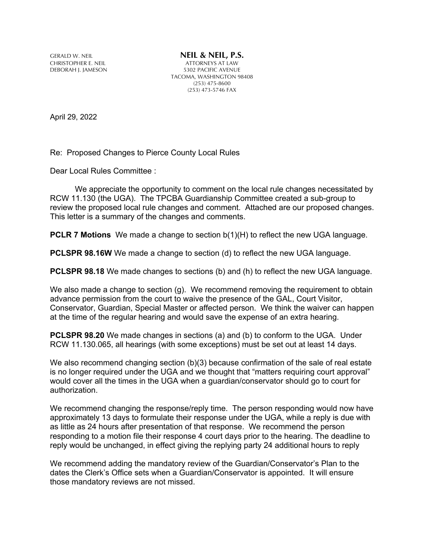GERALD W. NEIL **NEIL & NEIL, P.S.**<br>CHRISTOPHER E. NEIL **NEIL ALL ALL ALL ATTORNEYS AT LAW** DEBORAH J. JAMESON

CHRISTOPHER E. NEIL ATTORNEYS AT LAW TACOMA, WASHINGTON 98408 (253) 475-8600 (253) 473-5746 FAX

April 29, 2022

Re: Proposed Changes to Pierce County Local Rules

Dear Local Rules Committee :

We appreciate the opportunity to comment on the local rule changes necessitated by RCW 11.130 (the UGA). The TPCBA Guardianship Committee created a sub-group to review the proposed local rule changes and comment. Attached are our proposed changes. This letter is a summary of the changes and comments.

**PCLR 7 Motions** We made a change to section b(1)(H) to reflect the new UGA language.

**PCLSPR 98.16W** We made a change to section (d) to reflect the new UGA language.

**PCLSPR 98.18** We made changes to sections (b) and (h) to reflect the new UGA language.

We also made a change to section (g). We recommend removing the requirement to obtain advance permission from the court to waive the presence of the GAL, Court Visitor, Conservator, Guardian, Special Master or affected person. We think the waiver can happen at the time of the regular hearing and would save the expense of an extra hearing.

**PCLSPR 98.20** We made changes in sections (a) and (b) to conform to the UGA. Under RCW 11.130.065, all hearings (with some exceptions) must be set out at least 14 days.

We also recommend changing section (b)(3) because confirmation of the sale of real estate is no longer required under the UGA and we thought that "matters requiring court approval" would cover all the times in the UGA when a guardian/conservator should go to court for authorization.

We recommend changing the response/reply time. The person responding would now have approximately 13 days to formulate their response under the UGA, while a reply is due with as little as 24 hours after presentation of that response. We recommend the person responding to a motion file their response 4 court days prior to the hearing. The deadline to reply would be unchanged, in effect giving the replying party 24 additional hours to reply

We recommend adding the mandatory review of the Guardian/Conservator's Plan to the dates the Clerk's Office sets when a Guardian/Conservator is appointed. It will ensure those mandatory reviews are not missed.